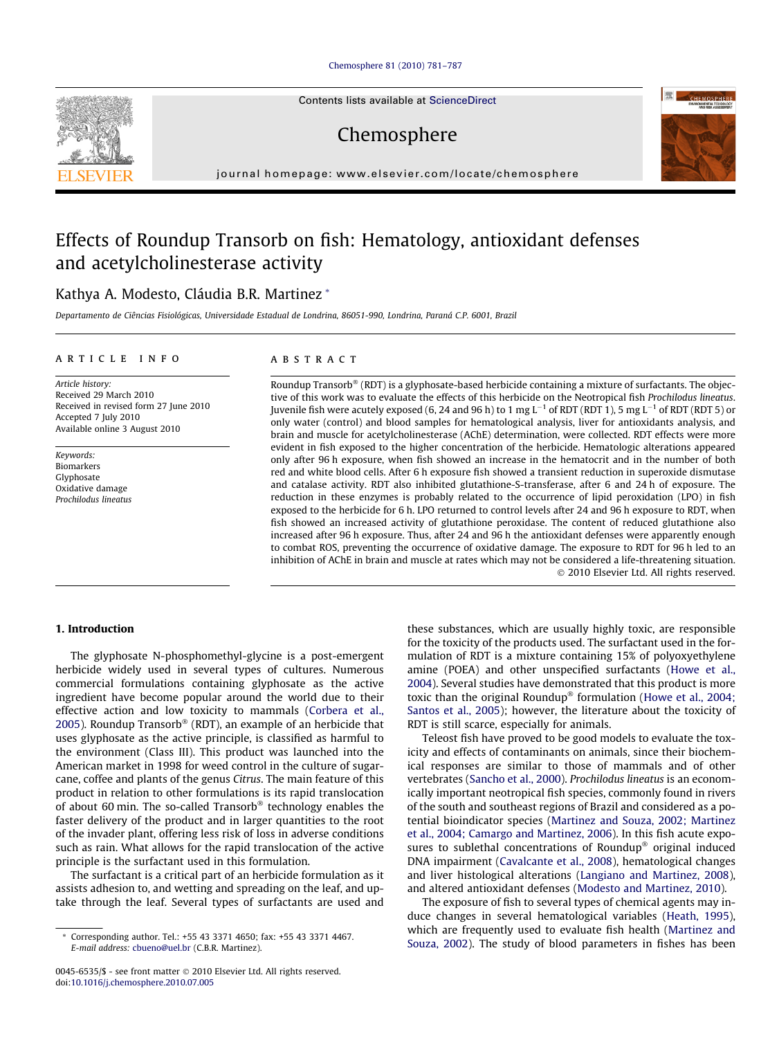## [Chemosphere 81 \(2010\) 781–787](http://dx.doi.org/10.1016/j.chemosphere.2010.07.005)



Chemosphere



# Effects of Roundup Transorb on fish: Hematology, antioxidant defenses and acetylcholinesterase activity

## Kathya A. Modesto, Cláudia B.R. Martinez \*

Departamento de Ciências Fisiológicas, Universidade Estadual de Londrina, 86051-990, Londrina, Paraná C.P. 6001, Brazil

## article info

Article history: Received 29 March 2010 Received in revised form 27 June 2010 Accepted 7 July 2010 Available online 3 August 2010

Keywords: Biomarkers Glyphosate Oxidative damage Prochilodus lineatus

## ABSTRACT

Roundup Transorb® (RDT) is a glyphosate-based herbicide containing a mixture of surfactants. The objective of this work was to evaluate the effects of this herbicide on the Neotropical fish Prochilodus lineatus. Juvenile fish were acutely exposed (6, 24 and 96 h) to 1 mg L $^{-1}$  of RDT (RDT 1), 5 mg L $^{-1}$  of RDT (RDT 5) or only water (control) and blood samples for hematological analysis, liver for antioxidants analysis, and brain and muscle for acetylcholinesterase (AChE) determination, were collected. RDT effects were more evident in fish exposed to the higher concentration of the herbicide. Hematologic alterations appeared only after 96 h exposure, when fish showed an increase in the hematocrit and in the number of both red and white blood cells. After 6 h exposure fish showed a transient reduction in superoxide dismutase and catalase activity. RDT also inhibited glutathione-S-transferase, after 6 and 24 h of exposure. The reduction in these enzymes is probably related to the occurrence of lipid peroxidation (LPO) in fish exposed to the herbicide for 6 h. LPO returned to control levels after 24 and 96 h exposure to RDT, when fish showed an increased activity of glutathione peroxidase. The content of reduced glutathione also increased after 96 h exposure. Thus, after 24 and 96 h the antioxidant defenses were apparently enough to combat ROS, preventing the occurrence of oxidative damage. The exposure to RDT for 96 h led to an inhibition of AChE in brain and muscle at rates which may not be considered a life-threatening situation. 2010 Elsevier Ltd. All rights reserved.

## 1. Introduction

The glyphosate N-phosphomethyl-glycine is a post-emergent herbicide widely used in several types of cultures. Numerous commercial formulations containing glyphosate as the active ingredient have become popular around the world due to their effective action and low toxicity to mammals ([Corbera et al.,](#page-5-0) [2005](#page-5-0)). Roundup Transorb® (RDT), an example of an herbicide that uses glyphosate as the active principle, is classified as harmful to the environment (Class III). This product was launched into the American market in 1998 for weed control in the culture of sugarcane, coffee and plants of the genus Citrus. The main feature of this product in relation to other formulations is its rapid translocation of about 60 min. The so-called Transorb® technology enables the faster delivery of the product and in larger quantities to the root of the invader plant, offering less risk of loss in adverse conditions such as rain. What allows for the rapid translocation of the active principle is the surfactant used in this formulation.

The surfactant is a critical part of an herbicide formulation as it assists adhesion to, and wetting and spreading on the leaf, and uptake through the leaf. Several types of surfactants are used and these substances, which are usually highly toxic, are responsible for the toxicity of the products used. The surfactant used in the formulation of RDT is a mixture containing 15% of polyoxyethylene amine (POEA) and other unspecified surfactants ([Howe et al.,](#page-6-0) [2004](#page-6-0)). Several studies have demonstrated that this product is more toxic than the original Roundup® formulation [\(Howe et al., 2004;](#page-6-0) [Santos et al., 2005\)](#page-6-0); however, the literature about the toxicity of RDT is still scarce, especially for animals.

Teleost fish have proved to be good models to evaluate the toxicity and effects of contaminants on animals, since their biochemical responses are similar to those of mammals and of other vertebrates [\(Sancho et al., 2000\)](#page-6-0). Prochilodus lineatus is an economically important neotropical fish species, commonly found in rivers of the south and southeast regions of Brazil and considered as a potential bioindicator species ([Martinez and Souza, 2002; Martinez](#page-6-0) [et al., 2004; Camargo and Martinez, 2006](#page-6-0)). In this fish acute exposures to sublethal concentrations of Roundup® original induced DNA impairment [\(Cavalcante et al., 2008](#page-5-0)), hematological changes and liver histological alterations ([Langiano and Martinez, 2008\)](#page-6-0), and altered antioxidant defenses ([Modesto and Martinez, 2010](#page-6-0)).

The exposure of fish to several types of chemical agents may induce changes in several hematological variables ([Heath, 1995\)](#page-6-0), which are frequently used to evaluate fish health [\(Martinez and](#page-6-0) [Souza, 2002](#page-6-0)). The study of blood parameters in fishes has been





Corresponding author. Tel.: +55 43 3371 4650; fax: +55 43 3371 4467. E-mail address: [cbueno@uel.br](mailto:cbueno@uel.br) (C.B.R. Martinez).

<sup>0045-6535/\$ -</sup> see front matter 2010 Elsevier Ltd. All rights reserved. doi[:10.1016/j.chemosphere.2010.07.005](http://dx.doi.org/10.1016/j.chemosphere.2010.07.005)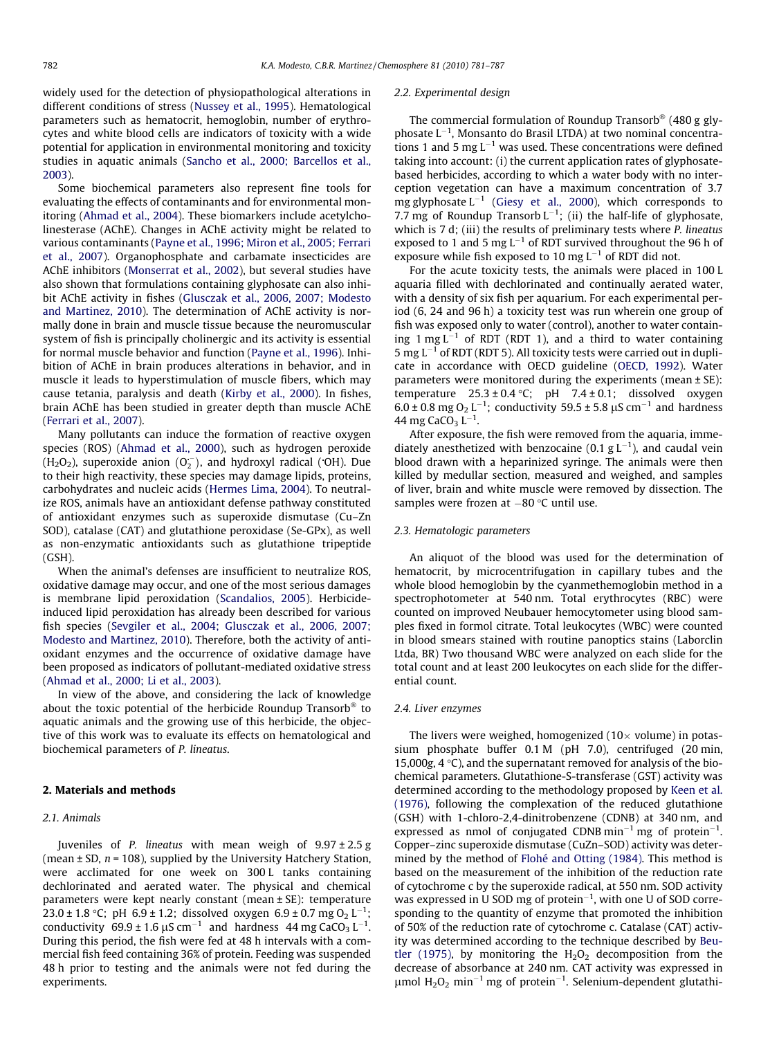widely used for the detection of physiopathological alterations in different conditions of stress ([Nussey et al., 1995](#page-6-0)). Hematological parameters such as hematocrit, hemoglobin, number of erythrocytes and white blood cells are indicators of toxicity with a wide potential for application in environmental monitoring and toxicity studies in aquatic animals ([Sancho et al., 2000; Barcellos et al.,](#page-6-0) [2003\)](#page-6-0).

Some biochemical parameters also represent fine tools for evaluating the effects of contaminants and for environmental monitoring ([Ahmad et al., 2004](#page-5-0)). These biomarkers include acetylcholinesterase (AChE). Changes in AChE activity might be related to various contaminants ([Payne et al., 1996; Miron et al., 2005; Ferrari](#page-6-0) [et al., 2007\)](#page-6-0). Organophosphate and carbamate insecticides are AChE inhibitors [\(Monserrat et al., 2002\)](#page-6-0), but several studies have also shown that formulations containing glyphosate can also inhibit AChE activity in fishes [\(Glusczak et al., 2006, 2007; Modesto](#page-6-0) [and Martinez, 2010\)](#page-6-0). The determination of AChE activity is normally done in brain and muscle tissue because the neuromuscular system of fish is principally cholinergic and its activity is essential for normal muscle behavior and function [\(Payne et al., 1996](#page-6-0)). Inhibition of AChE in brain produces alterations in behavior, and in muscle it leads to hyperstimulation of muscle fibers, which may cause tetania, paralysis and death [\(Kirby et al., 2000](#page-6-0)). In fishes, brain AChE has been studied in greater depth than muscle AChE ([Ferrari et al., 2007\)](#page-5-0).

Many pollutants can induce the formation of reactive oxygen species (ROS) [\(Ahmad et al., 2000](#page-5-0)), such as hydrogen peroxide  $(H_2O_2)$ , superoxide anion  $(O_2^-)$ , and hydroxyl radical ( $OH$ ). Due to their high reactivity, these species may damage lipids, proteins, carbohydrates and nucleic acids [\(Hermes Lima, 2004\)](#page-6-0). To neutralize ROS, animals have an antioxidant defense pathway constituted of antioxidant enzymes such as superoxide dismutase (Cu–Zn SOD), catalase (CAT) and glutathione peroxidase (Se-GPx), as well as non-enzymatic antioxidants such as glutathione tripeptide (GSH).

When the animal's defenses are insufficient to neutralize ROS, oxidative damage may occur, and one of the most serious damages is membrane lipid peroxidation [\(Scandalios, 2005\)](#page-6-0). Herbicideinduced lipid peroxidation has already been described for various fish species [\(Sevgiler et al., 2004; Glusczak et al., 2006, 2007;](#page-6-0) [Modesto and Martinez, 2010](#page-6-0)). Therefore, both the activity of antioxidant enzymes and the occurrence of oxidative damage have been proposed as indicators of pollutant-mediated oxidative stress ([Ahmad et al., 2000; Li et al., 2003](#page-5-0)).

In view of the above, and considering the lack of knowledge about the toxic potential of the herbicide Roundup Transorb<sup>®</sup> to aquatic animals and the growing use of this herbicide, the objective of this work was to evaluate its effects on hematological and biochemical parameters of P. lineatus.

#### 2. Materials and methods

## 2.1. Animals

Juveniles of P. lineatus with mean weigh of  $9.97 \pm 2.5$  g (mean  $\pm$  SD,  $n$  = 108), supplied by the University Hatchery Station, were acclimated for one week on 300 L tanks containing dechlorinated and aerated water. The physical and chemical parameters were kept nearly constant (mean ± SE): temperature 23.0 ± 1.8 °C; pH 6.9 ± 1.2; dissolved oxygen  $6.9 \pm 0.7$  mg O<sub>2</sub> L<sup>-1</sup>; conductivity  $69.9 \pm 1.6 \ \mu\text{S cm}^{-1}$  and hardness 44 mg CaCO<sub>3</sub> L<sup>-1</sup>. During this period, the fish were fed at 48 h intervals with a commercial fish feed containing 36% of protein. Feeding was suspended 48 h prior to testing and the animals were not fed during the experiments.

#### 2.2. Experimental design

The commercial formulation of Roundup Transorb® (480 g gly $phos$ ate  $L^{-1}$ , Monsanto do Brasil LTDA) at two nominal concentrations 1 and 5 mg  $L^{-1}$  was used. These concentrations were defined taking into account: (i) the current application rates of glyphosatebased herbicides, according to which a water body with no interception vegetation can have a maximum concentration of 3.7 mg glyphosate  $L^{-1}$  ([Giesy et al., 2000\)](#page-6-0), which corresponds to 7.7 mg of Roundup Transorb  $L^{-1}$ ; (ii) the half-life of glyphosate, which is 7 d; (iii) the results of preliminary tests where P. lineatus exposed to 1 and 5 mg  $L^{-1}$  of RDT survived throughout the 96 h of exposure while fish exposed to 10 mg  $L^{-1}$  of RDT did not.

For the acute toxicity tests, the animals were placed in 100 L aquaria filled with dechlorinated and continually aerated water, with a density of six fish per aquarium. For each experimental period (6, 24 and 96 h) a toxicity test was run wherein one group of fish was exposed only to water (control), another to water containing  $1 \text{ mg } L^{-1}$  of RDT (RDT 1), and a third to water containing  $5$  mg  $L^{-1}$  of RDT (RDT 5). All toxicity tests were carried out in duplicate in accordance with OECD guideline ([OECD, 1992\)](#page-6-0). Water parameters were monitored during the experiments (mean  $\pm$  SE): temperature  $25.3 \pm 0.4$  °C; pH  $7.4 \pm 0.1$ ; dissolved oxygen  $6.0 \pm 0.8$  mg O<sub>2</sub> L<sup>-1</sup>; conductivity 59.5  $\pm$  5.8 µS cm<sup>-1</sup> and hardness 44 mg CaCO<sub>3</sub> L<sup>-1</sup>.

After exposure, the fish were removed from the aquaria, immediately anesthetized with benzocaine (0.1  $g L^{-1}$ ), and caudal vein blood drawn with a heparinized syringe. The animals were then killed by medullar section, measured and weighed, and samples of liver, brain and white muscle were removed by dissection. The samples were frozen at  $-80$  °C until use.

## 2.3. Hematologic parameters

An aliquot of the blood was used for the determination of hematocrit, by microcentrifugation in capillary tubes and the whole blood hemoglobin by the cyanmethemoglobin method in a spectrophotometer at 540 nm. Total erythrocytes (RBC) were counted on improved Neubauer hemocytometer using blood samples fixed in formol citrate. Total leukocytes (WBC) were counted in blood smears stained with routine panoptics stains (Laborclin Ltda, BR) Two thousand WBC were analyzed on each slide for the total count and at least 200 leukocytes on each slide for the differential count.

#### 2.4. Liver enzymes

The livers were weighed, homogenized  $(10 \times$  volume) in potassium phosphate buffer 0.1 M (pH 7.0), centrifuged (20 min, 15,000g, 4  $\degree$ C), and the supernatant removed for analysis of the biochemical parameters. Glutathione-S-transferase (GST) activity was determined according to the methodology proposed by [Keen et al.](#page-6-0) [\(1976\),](#page-6-0) following the complexation of the reduced glutathione (GSH) with 1-chloro-2,4-dinitrobenzene (CDNB) at 340 nm, and expressed as nmol of conjugated CDNB min<sup>-1</sup> mg of protein<sup>-1</sup>. Copper–zinc superoxide dismutase (CuZn–SOD) activity was determined by the method of [Flohé and Otting \(1984\).](#page-5-0) This method is based on the measurement of the inhibition of the reduction rate of cytochrome c by the superoxide radical, at 550 nm. SOD activity was expressed in U SOD mg of protein $^{-1}$ , with one U of SOD corresponding to the quantity of enzyme that promoted the inhibition of 50% of the reduction rate of cytochrome c. Catalase (CAT) activity was determined according to the technique described by [Beu](#page-5-0)[tler \(1975\)](#page-5-0), by monitoring the  $H_2O_2$  decomposition from the decrease of absorbance at 240 nm. CAT activity was expressed in  $\mu$ mol H<sub>2</sub>O<sub>2</sub> min<sup>-1</sup> mg of protein<sup>-1</sup>. Selenium-dependent glutathi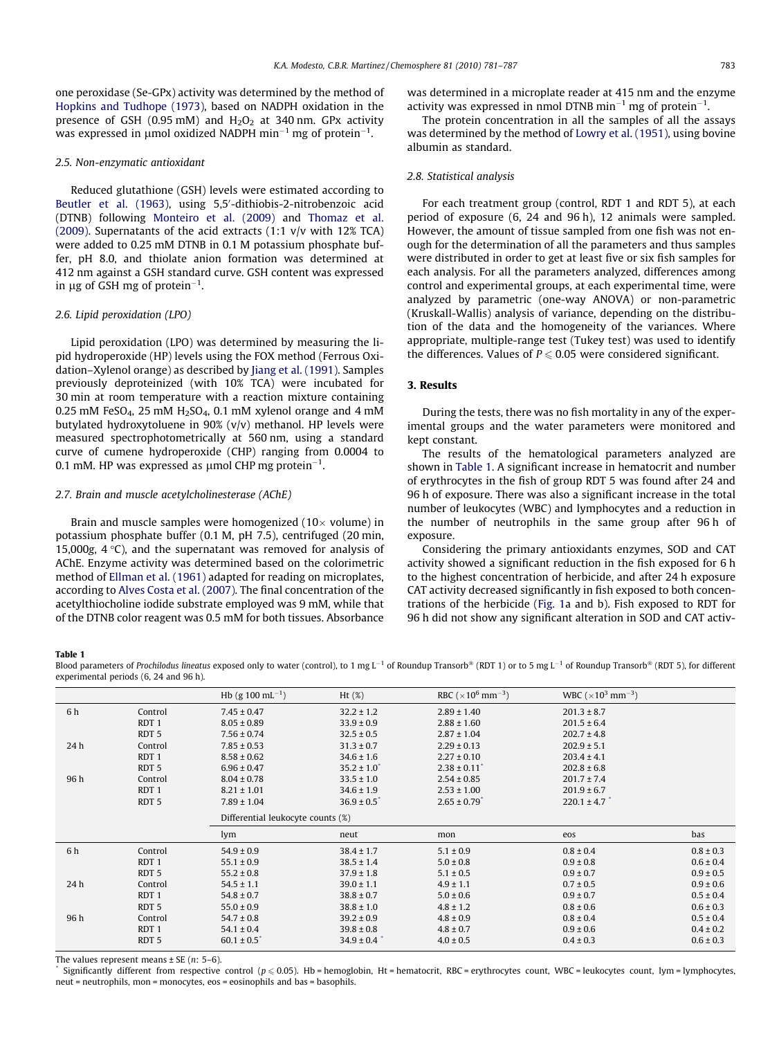one peroxidase (Se-GPx) activity was determined by the method of [Hopkins and Tudhope \(1973\)](#page-6-0), based on NADPH oxidation in the presence of GSH (0.95 mM) and  $H_2O_2$  at 340 nm. GPx activity was expressed in µmol oxidized NADPH min $^{-1}$  mg of protein $^{-1}$ .

## 2.5. Non-enzymatic antioxidant

Reduced glutathione (GSH) levels were estimated according to [Beutler et al. \(1963\),](#page-5-0) using 5,5'-dithiobis-2-nitrobenzoic acid (DTNB) following [Monteiro et al. \(2009\)](#page-6-0) and [Thomaz et al.](#page-6-0) [\(2009\)](#page-6-0). Supernatants of the acid extracts (1:1 v/v with 12% TCA) were added to 0.25 mM DTNB in 0.1 M potassium phosphate buffer, pH 8.0, and thiolate anion formation was determined at 412 nm against a GSH standard curve. GSH content was expressed in  $\mu$ g of GSH mg of protein $^{-1}$ .

## 2.6. Lipid peroxidation (LPO)

Lipid peroxidation (LPO) was determined by measuring the lipid hydroperoxide (HP) levels using the FOX method (Ferrous Oxidation–Xylenol orange) as described by [Jiang et al. \(1991\)](#page-6-0). Samples previously deproteinized (with 10% TCA) were incubated for 30 min at room temperature with a reaction mixture containing 0.25 mM FeSO<sub>4</sub>, 25 mM  $H<sub>2</sub>SO<sub>4</sub>$ , 0.1 mM xylenol orange and 4 mM butylated hydroxytoluene in 90% (v/v) methanol. HP levels were measured spectrophotometrically at 560 nm, using a standard curve of cumene hydroperoxide (CHP) ranging from 0.0004 to 0.1 mM. HP was expressed as  $\mu$ mol CHP mg protein $^{-1}$ .

## 2.7. Brain and muscle acetylcholinesterase (AChE)

Brain and muscle samples were homogenized  $(10 \times$  volume) in potassium phosphate buffer (0.1 M, pH 7.5), centrifuged (20 min, 15,000g,  $4^{\circ}$ C), and the supernatant was removed for analysis of AChE. Enzyme activity was determined based on the colorimetric method of [Ellman et al. \(1961\)](#page-5-0) adapted for reading on microplates, according to [Alves Costa et al. \(2007\).](#page-5-0) The final concentration of the acetylthiocholine iodide substrate employed was 9 mM, while that of the DTNB color reagent was 0.5 mM for both tissues. Absorbance

was determined in a microplate reader at 415 nm and the enzyme activity was expressed in nmol DTNB min<sup>-1</sup> mg of protein<sup>-1</sup>.

The protein concentration in all the samples of all the assays was determined by the method of [Lowry et al. \(1951\),](#page-6-0) using bovine albumin as standard.

## 2.8. Statistical analysis

For each treatment group (control, RDT 1 and RDT 5), at each period of exposure (6, 24 and 96 h), 12 animals were sampled. However, the amount of tissue sampled from one fish was not enough for the determination of all the parameters and thus samples were distributed in order to get at least five or six fish samples for each analysis. For all the parameters analyzed, differences among control and experimental groups, at each experimental time, were analyzed by parametric (one-way ANOVA) or non-parametric (Kruskall-Wallis) analysis of variance, depending on the distribution of the data and the homogeneity of the variances. Where appropriate, multiple-range test (Tukey test) was used to identify the differences. Values of  $P \le 0.05$  were considered significant.

## 3. Results

During the tests, there was no fish mortality in any of the experimental groups and the water parameters were monitored and kept constant.

The results of the hematological parameters analyzed are shown in Table 1. A significant increase in hematocrit and number of erythrocytes in the fish of group RDT 5 was found after 24 and 96 h of exposure. There was also a significant increase in the total number of leukocytes (WBC) and lymphocytes and a reduction in the number of neutrophils in the same group after 96 h of exposure.

Considering the primary antioxidants enzymes, SOD and CAT activity showed a significant reduction in the fish exposed for 6 h to the highest concentration of herbicide, and after 24 h exposure CAT activity decreased significantly in fish exposed to both concentrations of the herbicide [\(Fig. 1](#page-3-0)a and b). Fish exposed to RDT for 96 h did not show any significant alteration in SOD and CAT activ-

### Table 1

Blood parameters of Prochilodus lineatus exposed only to water (control), to 1 mg L<sup>-1</sup> of Roundup Transorb® (RDT 1) or to 5 mg L<sup>-1</sup> of Roundup Transorb® (RDT 5), for different experimental periods (6, 24 and 96 h).

|      |                  | Hb (g 100 mL <sup>-1</sup> ) | Ht(%)                             | RBC ( $\times$ 10 <sup>6</sup> mm <sup>-3</sup> ) | WBC $(\times 10^3 \text{ mm}^{-3})$ |               |  |
|------|------------------|------------------------------|-----------------------------------|---------------------------------------------------|-------------------------------------|---------------|--|
| 6 h  | Control          | $7.45 \pm 0.47$              | $32.2 \pm 1.2$                    | $2.89 \pm 1.40$                                   | $201.3 \pm 8.7$                     |               |  |
|      | RDT <sub>1</sub> | $8.05 \pm 0.89$              | $33.9 \pm 0.9$                    | $2.88 \pm 1.60$                                   | $201.5 \pm 6.4$                     |               |  |
|      | RDT <sub>5</sub> | $7.56 \pm 0.74$              | $32.5 \pm 0.5$                    | $2.87 \pm 1.04$                                   | $202.7 \pm 4.8$                     |               |  |
| 24 h | Control          | $7.85 \pm 0.53$              | $31.3 \pm 0.7$                    | $2.29 \pm 0.13$                                   | $202.9 \pm 5.1$                     |               |  |
|      | RDT <sub>1</sub> | $8.58 \pm 0.62$              | $34.6 \pm 1.6$                    | $2.27 \pm 0.10$                                   | $203.4 \pm 4.1$                     |               |  |
|      | RDT <sub>5</sub> | $6.96 \pm 0.47$              | $35.2 \pm 1.0^*$                  | $2.38 \pm 0.11$                                   | $202.8 \pm 6.8$                     |               |  |
| 96 h | Control          | $8.04 \pm 0.78$              | $33.5 \pm 1.0$                    | $2.54 \pm 0.85$                                   | $201.7 \pm 7.4$                     |               |  |
|      | RDT <sub>1</sub> | $8.21 \pm 1.01$              | $34.6 \pm 1.9$                    | $2.53 \pm 1.00$                                   | $201.9 \pm 6.7$                     |               |  |
|      | RDT <sub>5</sub> | $7.89 \pm 1.04$              | $36.9 \pm 0.5^*$                  | $2.65 \pm 0.79$                                   | $220.1 \pm 4.7$                     |               |  |
|      |                  |                              | Differential leukocyte counts (%) |                                                   |                                     |               |  |
|      |                  | lym                          | neut                              | mon                                               | eos                                 | bas           |  |
| 6 h  | Control          | $54.9 \pm 0.9$               | $38.4 \pm 1.7$                    | $5.1 \pm 0.9$                                     | $0.8 \pm 0.4$                       | $0.8 \pm 0.3$ |  |
|      | RDT <sub>1</sub> | $55.1 \pm 0.9$               | $38.5 \pm 1.4$                    | $5.0 \pm 0.8$                                     | $0.9 \pm 0.8$                       | $0.6 \pm 0.4$ |  |
|      | RDT <sub>5</sub> | $55.2 \pm 0.8$               | $37.9 \pm 1.8$                    | $5.1 \pm 0.5$                                     | $0.9 \pm 0.7$                       | $0.9 \pm 0.5$ |  |
| 24 h | Control          | $54.5 \pm 1.1$               | $39.0 \pm 1.1$                    | $4.9 \pm 1.1$                                     | $0.7 \pm 0.5$                       | $0.9 \pm 0.6$ |  |
|      | RDT <sub>1</sub> | $54.8 \pm 0.7$               | $38.8 \pm 0.7$                    | $5.0 \pm 0.6$                                     | $0.9 \pm 0.7$                       | $0.5 \pm 0.4$ |  |
|      | RDT <sub>5</sub> | $55.0 \pm 0.9$               | $38.8 \pm 1.0$                    | $4.8 \pm 1.2$                                     | $0.8 \pm 0.6$                       | $0.6 \pm 0.3$ |  |
| 96 h | Control          | $54.7 \pm 0.8$               | $39.2 \pm 0.9$                    | $4.8 \pm 0.9$                                     | $0.8 \pm 0.4$                       | $0.5 \pm 0.4$ |  |
|      | RDT <sub>1</sub> | $54.1 \pm 0.4$               | $39.8 \pm 0.8$                    | $4.8 \pm 0.7$                                     | $0.9 \pm 0.6$                       | $0.4 \pm 0.2$ |  |
|      | RDT <sub>5</sub> | $60.1 \pm 0.5$ <sup>*</sup>  | $34.9 \pm 0.4$ <sup>*</sup>       | $4.0 \pm 0.5$                                     | $0.4 \pm 0.3$                       | $0.6 \pm 0.3$ |  |

The values represent means  $\pm$  SE (n: 5–6).

Significantly different from respective control ( $p \le 0.05$ ). Hb = hemoglobin, Ht = hematocrit, RBC = erythrocytes count, WBC = leukocytes count, lym = lymphocytes, neut = neutrophils, mon = monocytes, eos = eosinophils and bas = basophils.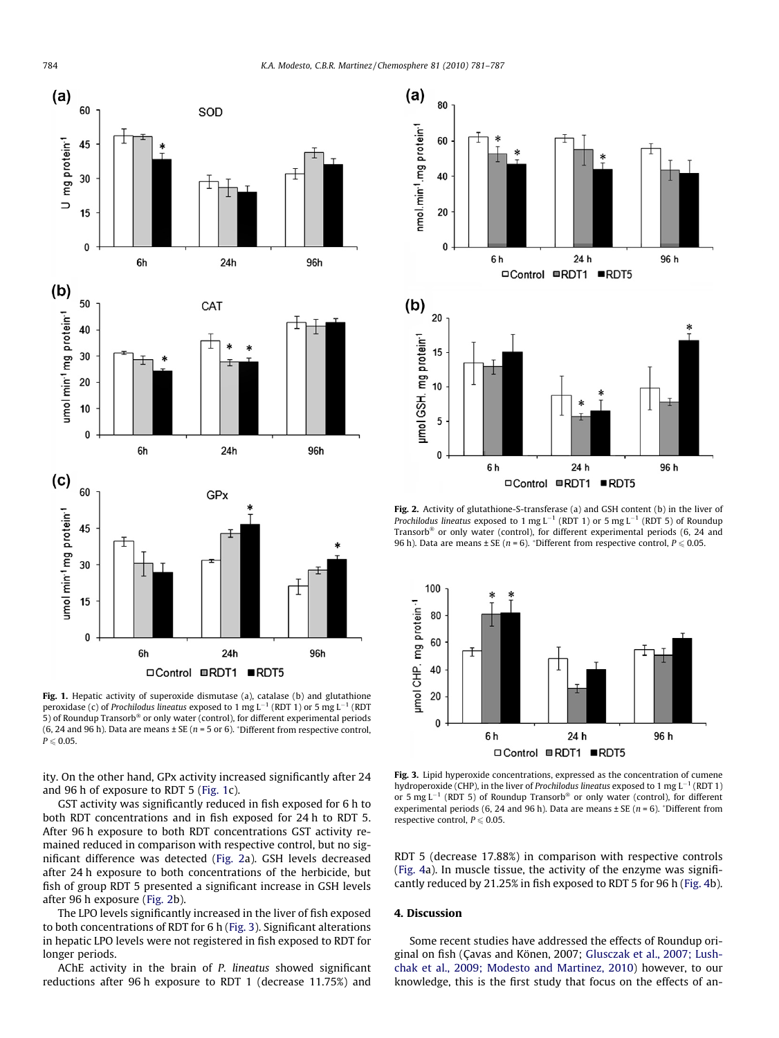<span id="page-3-0"></span>

Fig. 1. Hepatic activity of superoxide dismutase (a), catalase (b) and glutathione peroxidase (c) of Prochilodus lineatus exposed to 1 mg L<sup>-1</sup> (RDT 1) or 5 mg L<sup>-1</sup> (RDT 5) of Roundup Transorb® or only water (control), for different experimental periods (6, 24 and 96 h). Data are means  $\pm$  SE ( $n = 5$  or 6).  $\overline{ }$  Different from respective control,  $P \leqslant 0.05$ .

ity. On the other hand, GPx activity increased significantly after 24 and 96 h of exposure to RDT 5 (Fig. 1c).

GST activity was significantly reduced in fish exposed for 6 h to both RDT concentrations and in fish exposed for 24 h to RDT 5. After 96 h exposure to both RDT concentrations GST activity remained reduced in comparison with respective control, but no significant difference was detected (Fig. 2a). GSH levels decreased after 24 h exposure to both concentrations of the herbicide, but fish of group RDT 5 presented a significant increase in GSH levels after 96 h exposure (Fig. 2b).

The LPO levels significantly increased in the liver of fish exposed to both concentrations of RDT for 6 h (Fig. 3). Significant alterations in hepatic LPO levels were not registered in fish exposed to RDT for longer periods.

AChE activity in the brain of P. lineatus showed significant reductions after 96 h exposure to RDT 1 (decrease 11.75%) and



Fig. 2. Activity of glutathione-S-transferase (a) and GSH content (b) in the liver of Prochilodus lineatus exposed to 1 mg L<sup>-1</sup> (RDT 1) or 5 mg L<sup>-1</sup> (RDT 5) of Roundup Transorb<sup>®</sup> or only water (control), for different experimental periods (6, 24 and 96 h). Data are means  $\pm$  SE (n = 6). \*Different from respective control,  $P \le 0.05$ .



Fig. 3. Lipid hyperoxide concentrations, expressed as the concentration of cumene hydroperoxide (CHP), in the liver of Prochilodus lineatus exposed to 1 mg  $L^{-1}$  (RDT 1) or 5 mg L<sup>-1</sup> (RDT 5) of Roundup Transorb<sup>®</sup> or only water (control), for different experimental periods (6, 24 and 96 h). Data are means  $\pm$  SE ( $n = 6$ ). \*Different from respective control,  $P \le 0.05$ .

RDT 5 (decrease 17.88%) in comparison with respective controls ([Fig. 4](#page-4-0)a). In muscle tissue, the activity of the enzyme was significantly reduced by 21.25% in fish exposed to RDT 5 for 96 h [\(Fig. 4](#page-4-0)b).

## 4. Discussion

Some recent studies have addressed the effects of Roundup original on fish (Çavas and Könen, 2007; [Glusczak et al., 2007; Lush](#page-6-0)[chak et al., 2009; Modesto and Martinez, 2010](#page-6-0)) however, to our knowledge, this is the first study that focus on the effects of an-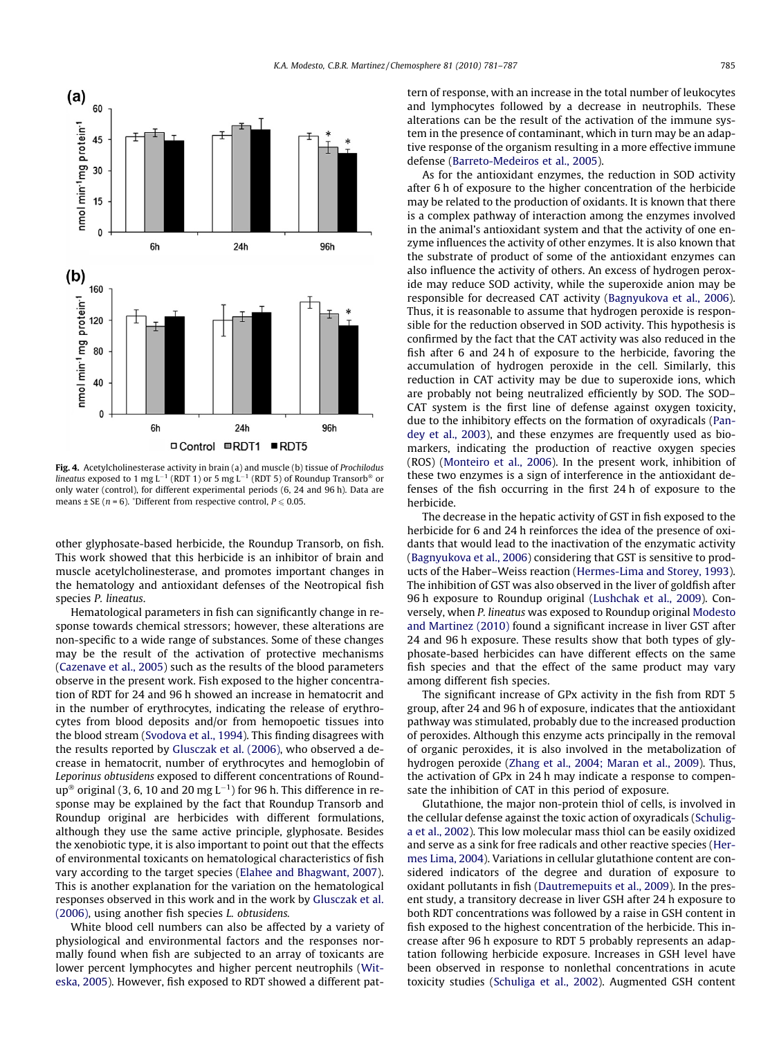<span id="page-4-0"></span>

Fig. 4. Acetylcholinesterase activity in brain (a) and muscle (b) tissue of Prochilodus lineatus exposed to 1 mg L<sup>-1</sup> (RDT 1) or 5 mg L<sup>-1</sup> (RDT 5) of Roundup Transorb<sup>®</sup> or only water (control), for different experimental periods (6, 24 and 96 h). Data are means  $\pm$  SE (*n* = 6). \*Different from respective control,  $P \le 0.05$ .

other glyphosate-based herbicide, the Roundup Transorb, on fish. This work showed that this herbicide is an inhibitor of brain and muscle acetylcholinesterase, and promotes important changes in the hematology and antioxidant defenses of the Neotropical fish species P. lineatus.

Hematological parameters in fish can significantly change in response towards chemical stressors; however, these alterations are non-specific to a wide range of substances. Some of these changes may be the result of the activation of protective mechanisms ([Cazenave et al., 2005\)](#page-5-0) such as the results of the blood parameters observe in the present work. Fish exposed to the higher concentration of RDT for 24 and 96 h showed an increase in hematocrit and in the number of erythrocytes, indicating the release of erythrocytes from blood deposits and/or from hemopoetic tissues into the blood stream [\(Svodova et al., 1994\)](#page-6-0). This finding disagrees with the results reported by [Glusczak et al. \(2006\)](#page-6-0), who observed a decrease in hematocrit, number of erythrocytes and hemoglobin of Leporinus obtusidens exposed to different concentrations of Roundup® original (3, 6, 10 and 20 mg L $^{-1}$ ) for 96 h. This difference in response may be explained by the fact that Roundup Transorb and Roundup original are herbicides with different formulations, although they use the same active principle, glyphosate. Besides the xenobiotic type, it is also important to point out that the effects of environmental toxicants on hematological characteristics of fish vary according to the target species ([Elahee and Bhagwant, 2007\)](#page-5-0). This is another explanation for the variation on the hematological responses observed in this work and in the work by [Glusczak et al.](#page-6-0) [\(2006\)](#page-6-0), using another fish species L. obtusidens.

White blood cell numbers can also be affected by a variety of physiological and environmental factors and the responses normally found when fish are subjected to an array of toxicants are lower percent lymphocytes and higher percent neutrophils [\(Wit](#page-6-0)[eska, 2005](#page-6-0)). However, fish exposed to RDT showed a different pattern of response, with an increase in the total number of leukocytes and lymphocytes followed by a decrease in neutrophils. These alterations can be the result of the activation of the immune system in the presence of contaminant, which in turn may be an adaptive response of the organism resulting in a more effective immune defense [\(Barreto-Medeiros et al., 2005](#page-5-0)).

As for the antioxidant enzymes, the reduction in SOD activity after 6 h of exposure to the higher concentration of the herbicide may be related to the production of oxidants. It is known that there is a complex pathway of interaction among the enzymes involved in the animal's antioxidant system and that the activity of one enzyme influences the activity of other enzymes. It is also known that the substrate of product of some of the antioxidant enzymes can also influence the activity of others. An excess of hydrogen peroxide may reduce SOD activity, while the superoxide anion may be responsible for decreased CAT activity [\(Bagnyukova et al., 2006\)](#page-5-0). Thus, it is reasonable to assume that hydrogen peroxide is responsible for the reduction observed in SOD activity. This hypothesis is confirmed by the fact that the CAT activity was also reduced in the fish after 6 and 24 h of exposure to the herbicide, favoring the accumulation of hydrogen peroxide in the cell. Similarly, this reduction in CAT activity may be due to superoxide ions, which are probably not being neutralized efficiently by SOD. The SOD– CAT system is the first line of defense against oxygen toxicity, due to the inhibitory effects on the formation of oxyradicals [\(Pan](#page-6-0)[dey et al., 2003\)](#page-6-0), and these enzymes are frequently used as biomarkers, indicating the production of reactive oxygen species (ROS) [\(Monteiro et al., 2006\)](#page-6-0). In the present work, inhibition of these two enzymes is a sign of interference in the antioxidant defenses of the fish occurring in the first 24 h of exposure to the herbicide.

The decrease in the hepatic activity of GST in fish exposed to the herbicide for 6 and 24 h reinforces the idea of the presence of oxidants that would lead to the inactivation of the enzymatic activity ([Bagnyukova et al., 2006](#page-5-0)) considering that GST is sensitive to products of the Haber–Weiss reaction [\(Hermes-Lima and Storey, 1993\)](#page-6-0). The inhibition of GST was also observed in the liver of goldfish after 96 h exposure to Roundup original ([Lushchak et al., 2009](#page-6-0)). Conversely, when P. lineatus was exposed to Roundup original [Modesto](#page-6-0) [and Martinez \(2010\)](#page-6-0) found a significant increase in liver GST after 24 and 96 h exposure. These results show that both types of glyphosate-based herbicides can have different effects on the same fish species and that the effect of the same product may vary among different fish species.

The significant increase of GPx activity in the fish from RDT 5 group, after 24 and 96 h of exposure, indicates that the antioxidant pathway was stimulated, probably due to the increased production of peroxides. Although this enzyme acts principally in the removal of organic peroxides, it is also involved in the metabolization of hydrogen peroxide ([Zhang et al., 2004; Maran et al., 2009\)](#page-6-0). Thus, the activation of GPx in 24 h may indicate a response to compensate the inhibition of CAT in this period of exposure.

Glutathione, the major non-protein thiol of cells, is involved in the cellular defense against the toxic action of oxyradicals ([Schulig](#page-6-0)[a et al., 2002\)](#page-6-0). This low molecular mass thiol can be easily oxidized and serve as a sink for free radicals and other reactive species ([Her](#page-6-0)[mes Lima, 2004\)](#page-6-0). Variations in cellular glutathione content are considered indicators of the degree and duration of exposure to oxidant pollutants in fish ([Dautremepuits et al., 2009\)](#page-5-0). In the present study, a transitory decrease in liver GSH after 24 h exposure to both RDT concentrations was followed by a raise in GSH content in fish exposed to the highest concentration of the herbicide. This increase after 96 h exposure to RDT 5 probably represents an adaptation following herbicide exposure. Increases in GSH level have been observed in response to nonlethal concentrations in acute toxicity studies ([Schuliga et al., 2002\)](#page-6-0). Augmented GSH content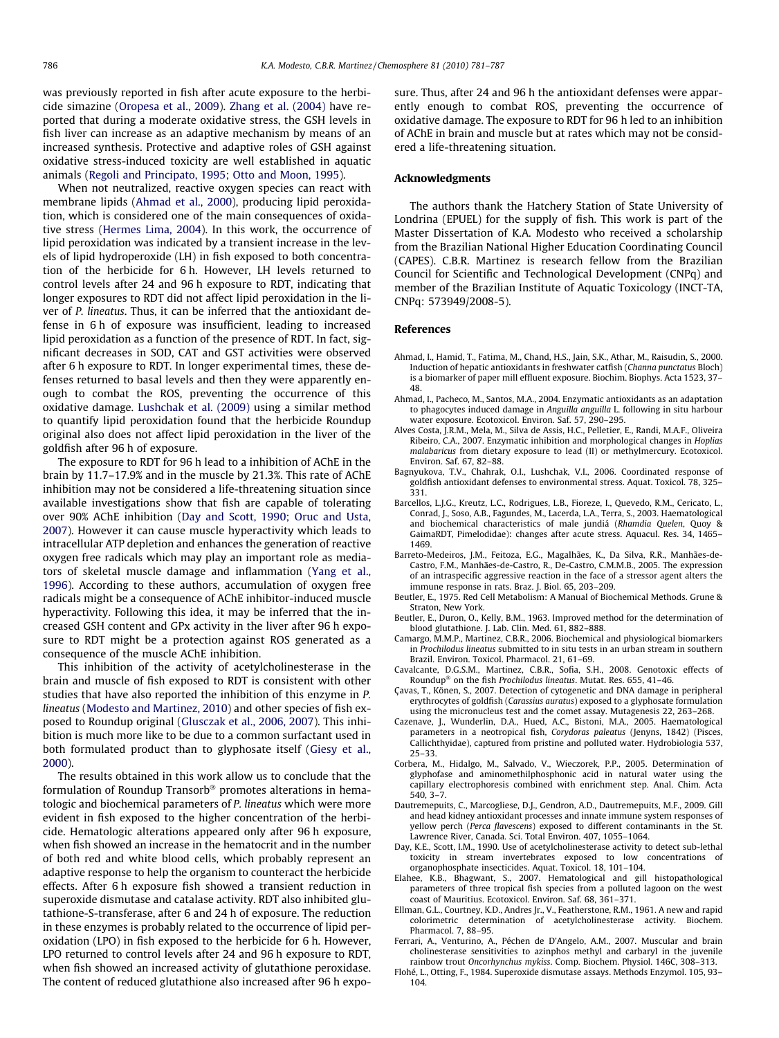<span id="page-5-0"></span>was previously reported in fish after acute exposure to the herbicide simazine [\(Oropesa et al., 2009\)](#page-6-0). [Zhang et al. \(2004\)](#page-6-0) have reported that during a moderate oxidative stress, the GSH levels in fish liver can increase as an adaptive mechanism by means of an increased synthesis. Protective and adaptive roles of GSH against oxidative stress-induced toxicity are well established in aquatic animals [\(Regoli and Principato, 1995; Otto and Moon, 1995](#page-6-0)).

When not neutralized, reactive oxygen species can react with membrane lipids (Ahmad et al., 2000), producing lipid peroxidation, which is considered one of the main consequences of oxidative stress ([Hermes Lima, 2004\)](#page-6-0). In this work, the occurrence of lipid peroxidation was indicated by a transient increase in the levels of lipid hydroperoxide (LH) in fish exposed to both concentration of the herbicide for 6 h. However, LH levels returned to control levels after 24 and 96 h exposure to RDT, indicating that longer exposures to RDT did not affect lipid peroxidation in the liver of P. lineatus. Thus, it can be inferred that the antioxidant defense in 6 h of exposure was insufficient, leading to increased lipid peroxidation as a function of the presence of RDT. In fact, significant decreases in SOD, CAT and GST activities were observed after 6 h exposure to RDT. In longer experimental times, these defenses returned to basal levels and then they were apparently enough to combat the ROS, preventing the occurrence of this oxidative damage. [Lushchak et al. \(2009\)](#page-6-0) using a similar method to quantify lipid peroxidation found that the herbicide Roundup original also does not affect lipid peroxidation in the liver of the goldfish after 96 h of exposure.

The exposure to RDT for 96 h lead to a inhibition of AChE in the brain by 11.7–17.9% and in the muscle by 21.3%. This rate of AChE inhibition may not be considered a life-threatening situation since available investigations show that fish are capable of tolerating over 90% AChE inhibition (Day and Scott, 1990; Oruc and Usta, 2007). However it can cause muscle hyperactivity which leads to intracellular ATP depletion and enhances the generation of reactive oxygen free radicals which may play an important role as mediators of skeletal muscle damage and inflammation ([Yang et al.,](#page-6-0) [1996\)](#page-6-0). According to these authors, accumulation of oxygen free radicals might be a consequence of AChE inhibitor-induced muscle hyperactivity. Following this idea, it may be inferred that the increased GSH content and GPx activity in the liver after 96 h exposure to RDT might be a protection against ROS generated as a consequence of the muscle AChE inhibition.

This inhibition of the activity of acetylcholinesterase in the brain and muscle of fish exposed to RDT is consistent with other studies that have also reported the inhibition of this enzyme in P. lineatus [\(Modesto and Martinez, 2010\)](#page-6-0) and other species of fish exposed to Roundup original ([Glusczak et al., 2006, 2007\)](#page-6-0). This inhibition is much more like to be due to a common surfactant used in both formulated product than to glyphosate itself [\(Giesy et al.,](#page-6-0) [2000\)](#page-6-0).

The results obtained in this work allow us to conclude that the formulation of Roundup Transorb® promotes alterations in hematologic and biochemical parameters of P. lineatus which were more evident in fish exposed to the higher concentration of the herbicide. Hematologic alterations appeared only after 96 h exposure, when fish showed an increase in the hematocrit and in the number of both red and white blood cells, which probably represent an adaptive response to help the organism to counteract the herbicide effects. After 6 h exposure fish showed a transient reduction in superoxide dismutase and catalase activity. RDT also inhibited glutathione-S-transferase, after 6 and 24 h of exposure. The reduction in these enzymes is probably related to the occurrence of lipid peroxidation (LPO) in fish exposed to the herbicide for 6 h. However, LPO returned to control levels after 24 and 96 h exposure to RDT, when fish showed an increased activity of glutathione peroxidase. The content of reduced glutathione also increased after 96 h exposure. Thus, after 24 and 96 h the antioxidant defenses were apparently enough to combat ROS, preventing the occurrence of oxidative damage. The exposure to RDT for 96 h led to an inhibition of AChE in brain and muscle but at rates which may not be considered a life-threatening situation.

## Acknowledgments

The authors thank the Hatchery Station of State University of Londrina (EPUEL) for the supply of fish. This work is part of the Master Dissertation of K.A. Modesto who received a scholarship from the Brazilian National Higher Education Coordinating Council (CAPES). C.B.R. Martinez is research fellow from the Brazilian Council for Scientific and Technological Development (CNPq) and member of the Brazilian Institute of Aquatic Toxicology (INCT-TA, CNPq: 573949/2008-5).

## References

- Ahmad, I., Hamid, T., Fatima, M., Chand, H.S., Jain, S.K., Athar, M., Raisudin, S., 2000. Induction of hepatic antioxidants in freshwater catfish (Channa punctatus Bloch) is a biomarker of paper mill effluent exposure. Biochim. Biophys. Acta 1523, 37– 48.
- Ahmad, I., Pacheco, M., Santos, M.A., 2004. Enzymatic antioxidants as an adaptation to phagocytes induced damage in Anguilla anguilla L. following in situ harbour water exposure. Ecotoxicol. Environ. Saf. 57, 290–295.
- Alves Costa, J.R.M., Mela, M., Silva de Assis, H.C., Pelletier, E., Randi, M.A.F., Oliveira Ribeiro, C.A., 2007. Enzymatic inhibition and morphological changes in Hoplias malabaricus from dietary exposure to lead (II) or methylmercury. Ecotoxicol. Environ. Saf. 67, 82–88.
- Bagnyukova, T.V., Chahrak, O.I., Lushchak, V.I., 2006. Coordinated response of goldfish antioxidant defenses to environmental stress. Aquat. Toxicol. 78, 325– 331.
- Barcellos, L.J.G., Kreutz, L.C., Rodrigues, L.B., Fioreze, I., Quevedo, R.M., Cericato, L., Conrad, J., Soso, A.B., Fagundes, M., Lacerda, L.A., Terra, S., 2003. Haematological and biochemical characteristics of male jundiá (Rhamdia Quelen, Quoy & GaimaRDT, Pimelodidae): changes after acute stress. Aquacul. Res. 34, 1465– 1469.
- Barreto-Medeiros, J.M., Feitoza, E.G., Magalhães, K., Da Silva, R.R., Manhães-de-Castro, F.M., Manhães-de-Castro, R., De-Castro, C.M.M.B., 2005. The expression of an intraspecific aggressive reaction in the face of a stressor agent alters the immune response in rats. Braz. J. Biol. 65, 203–209.
- Beutler, E., 1975. Red Cell Metabolism: A Manual of Biochemical Methods. Grune & Straton, New York.
- Beutler, E., Duron, O., Kelly, B.M., 1963. Improved method for the determination of blood glutathione. J. Lab. Clin. Med. 61, 882–888.
- Camargo, M.M.P., Martinez, C.B.R., 2006. Biochemical and physiological biomarkers in Prochilodus lineatus submitted to in situ tests in an urban stream in southern Brazil. Environ. Toxicol. Pharmacol. 21, 61–69.
- Cavalcante, D.G.S.M., Martinez, C.B.R., Sofia, S.H., 2008. Genotoxic effects of Roundup<sup>®</sup> on the fish Prochilodus lineatus. Mutat. Res. 655, 41-46.
- Çavas, T., Könen, S., 2007. Detection of cytogenetic and DNA damage in peripheral erythrocytes of goldfish (Carassius auratus) exposed to a glyphosate formulation using the micronucleus test and the comet assay. Mutagenesis 22, 263–268.
- Cazenave, J., Wunderlin, D.A., Hued, A.C., Bistoni, M.A., 2005. Haematological parameters in a neotropical fish, Corydoras paleatus (Jenyns, 1842) (Pisces, Callichthyidae), captured from pristine and polluted water. Hydrobiologia 537, 25–33.
- Corbera, M., Hidalgo, M., Salvado, V., Wieczorek, P.P., 2005. Determination of glyphofase and aminomethilphosphonic acid in natural water using the capillary electrophoresis combined with enrichment step. Anal. Chim. Acta 540, 3–7.
- Dautremepuits, C., Marcogliese, D.J., Gendron, A.D., Dautremepuits, M.F., 2009. Gill and head kidney antioxidant processes and innate immune system responses of yellow perch (Perca flavescens) exposed to different contaminants in the St. Lawrence River, Canada. Sci. Total Environ. 407, 1055–1064.
- Day, K.E., Scott, I.M., 1990. Use of acetylcholinesterase activity to detect sub-lethal toxicity in stream invertebrates exposed to low concentrations of organophosphate insecticides. Aquat. Toxicol. 18, 101–104.
- Elahee, K.B., Bhagwant, S., 2007. Hematological and gill histopathological parameters of three tropical fish species from a polluted lagoon on the west coast of Mauritius. Ecotoxicol. Environ. Saf. 68, 361–371.
- Ellman, G.L., Courtney, K.D., Andres Jr., V., Featherstone, R.M., 1961. A new and rapid colorimetric determination of acetylcholinesterase activity. Biochem. Pharmacol. 7, 88–95.
- Ferrari, A., Venturino, A., Péchen de D'Angelo, A.M., 2007. Muscular and brain cholinesterase sensitivities to azinphos methyl and carbaryl in the juvenile rainbow trout Oncorhynchus mykiss. Comp. Biochem. Physiol. 146C, 308–313.
- Flohé, L., Otting, F., 1984. Superoxide dismutase assays. Methods Enzymol. 105, 93– 104.